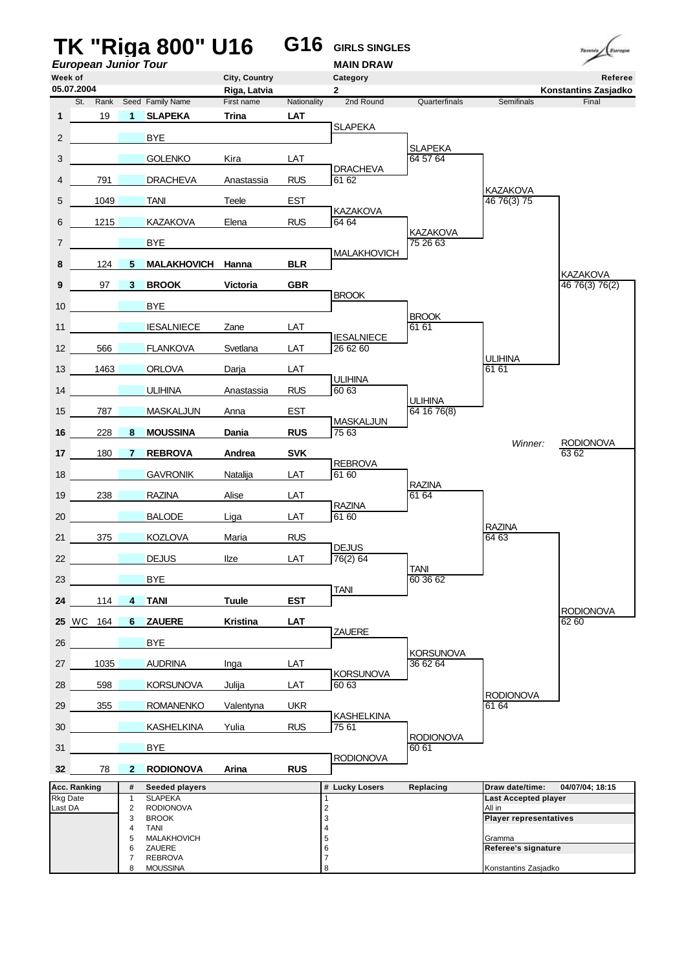|                     |                             |                                | <b>TK "Riga 800" U16</b>                    |                            | G16                       | <b>GIRLS SINGLES</b>          |                             |                                       | Tennis                            |
|---------------------|-----------------------------|--------------------------------|---------------------------------------------|----------------------------|---------------------------|-------------------------------|-----------------------------|---------------------------------------|-----------------------------------|
| Week of             | <b>European Junior Tour</b> |                                |                                             | City, Country              |                           | <b>MAIN DRAW</b><br>Category  |                             |                                       | Referee                           |
| 05.07.2004          |                             |                                |                                             | Riga, Latvia               |                           | $\mathbf{2}$                  |                             |                                       | Konstantins Zasjadko              |
| 1                   | 19                          | $\mathbf{1}$                   | St. Rank Seed Family Name<br><b>SLAPEKA</b> | First name<br><b>Trina</b> | Nationality<br><b>LAT</b> | 2nd Round                     | Quarterfinals               | Semifinals                            | Final                             |
|                     |                             |                                |                                             |                            |                           | <b>SLAPEKA</b>                |                             |                                       |                                   |
| 2                   |                             |                                | <b>BYE</b>                                  |                            |                           |                               | <b>SLAPEKA</b>              |                                       |                                   |
| 3                   |                             |                                | <b>GOLENKO</b>                              | Kira                       | LAT                       | <b>DRACHEVA</b>               | 64 57 64                    |                                       |                                   |
| 4                   | 791                         |                                | <b>DRACHEVA</b>                             | Anastassia                 | <b>RUS</b>                | 61 62                         |                             | <b>KAZAKOVA</b>                       |                                   |
| 5                   | 1049                        |                                | <b>TANI</b>                                 | Teele                      | <b>EST</b>                | <b>KAZAKOVA</b>               |                             | 46 76(3) 75                           |                                   |
| 6                   | 1215                        |                                | KAZAKOVA                                    | Elena                      | <b>RUS</b>                | 64 64                         |                             |                                       |                                   |
| 7                   |                             |                                | BYE                                         |                            |                           |                               | <b>KAZAKOVA</b><br>75 26 63 |                                       |                                   |
| 8                   | 124                         | 5                              | <b>MALAKHOVICH</b>                          | Hanna                      | <b>BLR</b>                | <b>MALAKHOVICH</b>            |                             |                                       |                                   |
| 9                   | 97                          | $\mathbf{3}$                   | <b>BROOK</b>                                | <b>Victoria</b>            | <b>GBR</b>                |                               |                             |                                       | <b>KAZAKOVA</b><br>46 76(3) 76(2) |
| 10                  |                             |                                | <b>BYE</b>                                  |                            |                           | <b>BROOK</b>                  |                             |                                       |                                   |
| 11                  |                             |                                | <b>IESALNIECE</b>                           | Zane                       | LAT                       |                               | <b>BROOK</b><br>61 61       |                                       |                                   |
| 12                  | 566                         |                                | <b>FLANKOVA</b>                             | Svetlana                   | LAT                       | <b>IESALNIECE</b><br>26 62 60 |                             |                                       |                                   |
| 13                  | 1463                        |                                | <b>ORLOVA</b>                               | Darja                      | LAT                       |                               |                             | <b>ULIHINA</b><br>61 61               |                                   |
| 14                  |                             |                                | <b>ULIHINA</b>                              | Anastassia                 | <b>RUS</b>                | <b>ULIHINA</b><br>60 63       |                             |                                       |                                   |
|                     |                             |                                |                                             |                            |                           |                               | <b>ULIHINA</b>              |                                       |                                   |
| 15                  | 787                         |                                | <b>MASKALJUN</b>                            | Anna                       | <b>EST</b>                | <b>MASKALJUN</b>              | 64 16 76(8)                 |                                       |                                   |
| 16                  | 228                         | 8                              | <b>MOUSSINA</b>                             | Dania                      | <b>RUS</b>                | 75 63                         |                             | Winner:                               | <b>RODIONOVA</b>                  |
| 17                  | 180                         | 7                              | <b>REBROVA</b>                              | Andrea                     | <b>SVK</b>                | <b>REBROVA</b>                |                             |                                       | 63 62                             |
| 18                  |                             |                                | <b>GAVRONIK</b>                             | Natalija                   | LAT                       | 61 60                         | <b>RAZINA</b>               |                                       |                                   |
| 19                  | 238                         |                                | <b>RAZINA</b>                               | Alise                      | LAT                       | <b>RAZINA</b>                 | 61 64                       |                                       |                                   |
| 20                  |                             |                                | <b>BALODE</b>                               | Liga                       | LAT                       | 61 60                         |                             |                                       |                                   |
| 21                  | 375                         |                                | <b>KOZLOVA</b>                              | Maria                      | <b>RUS</b>                |                               |                             | <b>RAZINA</b><br>64 63                |                                   |
| 22                  |                             |                                | <b>DEJUS</b>                                | Ilze                       | LAT                       | DEJUS<br>76(2) 64             |                             |                                       |                                   |
| 23                  |                             |                                | <b>BYE</b>                                  |                            |                           |                               | <b>TANI</b><br>60 36 62     |                                       |                                   |
| 24                  | 114                         | $\overline{4}$                 | <b>TANI</b>                                 | <b>Tuule</b>               | <b>EST</b>                | <b>TANI</b>                   |                             |                                       |                                   |
| 25 WC               | 164                         | 6                              | <b>ZAUERE</b>                               | <b>Kristina</b>            | <b>LAT</b>                |                               |                             |                                       | <b>RODIONOVA</b><br>62 60         |
| 26                  |                             |                                | <b>BYE</b>                                  |                            |                           | ZAUERE                        |                             |                                       |                                   |
|                     |                             |                                |                                             |                            |                           |                               | <b>KORSUNOVA</b>            |                                       |                                   |
| 27                  | 1035                        |                                | <b>AUDRINA</b>                              | Inga                       | LAT                       | <b>KORSUNOVA</b>              | 36 62 64                    |                                       |                                   |
| 28                  | 598                         |                                | <b>KORSUNOVA</b>                            | Julija                     | LAT                       | 60 63                         |                             | <b>RODIONOVA</b>                      |                                   |
| 29                  | 355                         |                                | <b>ROMANENKO</b>                            | Valentyna                  | <b>UKR</b>                | <b>KASHELKINA</b>             |                             | 61 64                                 |                                   |
| 30                  |                             |                                | <b>KASHELKINA</b>                           | Yulia                      | <b>RUS</b>                | 75 61                         | <b>RODIONOVA</b>            |                                       |                                   |
| 31                  |                             |                                | <b>BYE</b>                                  |                            |                           | <b>RODIONOVA</b>              | 60 61                       |                                       |                                   |
| 32 <sub>2</sub>     | 78                          | $\mathbf{2}$                   | <b>RODIONOVA</b>                            | Arina                      | <b>RUS</b>                |                               |                             |                                       |                                   |
| Acc. Ranking        |                             | #                              | <b>Seeded players</b><br><b>SLAPEKA</b>     |                            |                           | # Lucky Losers                | Replacing                   | Draw date/time:                       | 04/07/04; 18:15                   |
| Rkg Date<br>Last DA |                             | $\mathbf{1}$<br>$\overline{2}$ | <b>RODIONOVA</b>                            |                            |                           | 1<br>$\overline{\mathbf{c}}$  |                             | <b>Last Accepted player</b><br>All in |                                   |
|                     |                             | 3<br>4                         | <b>BROOK</b><br><b>TANI</b>                 |                            |                           | 3<br>4                        |                             | <b>Player representatives</b>         |                                   |
|                     |                             | 5<br>6                         | <b>MALAKHOVICH</b><br>ZAUERE                |                            |                           | 5<br>6                        |                             | Gramma<br>Referee's signature         |                                   |
|                     |                             | $\overline{7}$<br>8            | <b>REBROVA</b><br><b>MOUSSINA</b>           |                            |                           | 7<br>8                        |                             | Konstantins Zasjadko                  |                                   |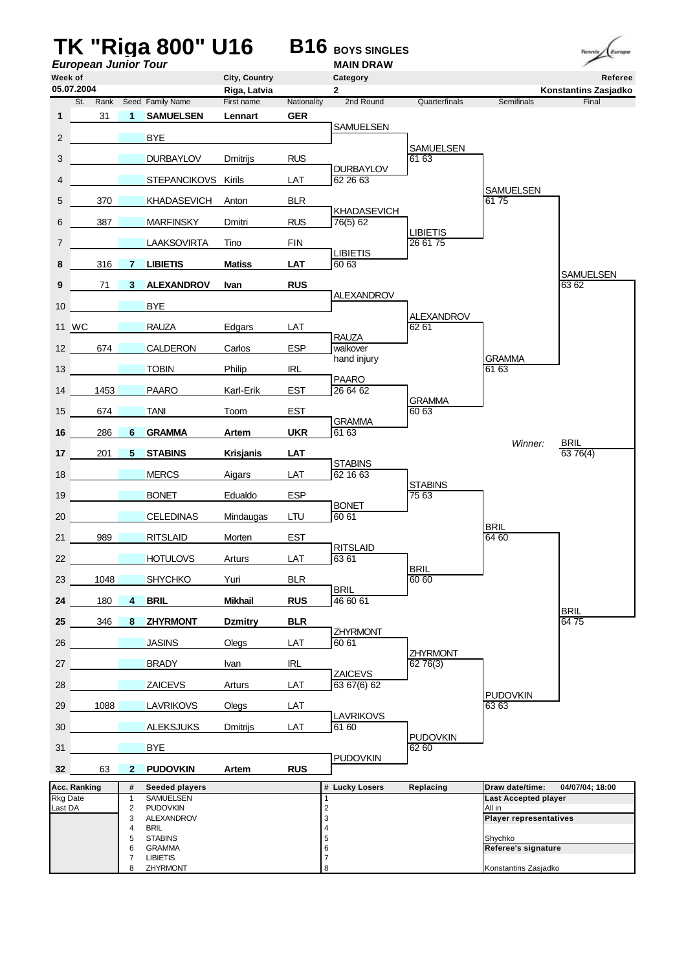|                          |                             |                              | TK "Riga 800" U16                  |                  |                 | <b>B16</b> BOYS SINGLES        |                             |                                                | Europe<br>Tennis          |
|--------------------------|-----------------------------|------------------------------|------------------------------------|------------------|-----------------|--------------------------------|-----------------------------|------------------------------------------------|---------------------------|
| Week of                  | <b>European Junior Tour</b> |                              |                                    | City, Country    |                 | <b>MAIN DRAW</b><br>Category   |                             |                                                | Referee                   |
|                          | 05.07.2004                  |                              |                                    | Riga, Latvia     |                 | $\mathbf{2}$                   |                             |                                                | Konstantins Zasjadko      |
|                          | St.<br>Rank                 |                              | Seed Family Name                   | First name       | Nationality     | 2nd Round                      | Quarterfinals               | Semifinals                                     | Final                     |
| 1                        | 31                          | $\blacktriangleleft$         | <b>SAMUELSEN</b>                   | Lennart          | <b>GER</b>      | SAMUELSEN                      |                             |                                                |                           |
| $\overline{2}$           |                             |                              | <b>BYE</b>                         |                  |                 |                                | <b>SAMUELSEN</b>            |                                                |                           |
| 3                        |                             |                              | <b>DURBAYLOV</b>                   | <b>Dmitrijs</b>  | <b>RUS</b>      | <b>DURBAYLOV</b>               | 61 63                       |                                                |                           |
| 4                        |                             |                              | STEPANCIKOVS Kirils                |                  | LAT             | 62 26 63                       |                             | SAMUELSEN                                      |                           |
| 5                        | 370                         |                              | <b>KHADASEVICH</b>                 | Anton            | <b>BLR</b>      |                                |                             | 6175                                           |                           |
| 6                        | 387                         |                              | <b>MARFINSKY</b>                   | Dmitri           | <b>RUS</b>      | <b>KHADASEVICH</b><br>76(5) 62 |                             |                                                |                           |
| 7                        |                             |                              | <b>LAAKSOVIRTA</b>                 | Tino             | <b>FIN</b>      |                                | <b>LIBIETIS</b><br>26 61 75 |                                                |                           |
| 8                        | 316                         | 7                            | <b>LIBIETIS</b>                    | <b>Matiss</b>    | LAT             | <b>LIBIETIS</b><br>60 63       |                             |                                                |                           |
| 9                        | 71                          | 3                            | <b>ALEXANDROV</b>                  | Ivan             | <b>RUS</b>      |                                |                             |                                                | <b>SAMUELSEN</b><br>63 62 |
| 10                       |                             |                              | <b>BYE</b>                         |                  |                 | <b>ALEXANDROV</b>              |                             |                                                |                           |
|                          |                             |                              |                                    |                  |                 |                                | <b>ALEXANDROV</b>           |                                                |                           |
|                          | 11 WC                       |                              | <b>RAUZA</b>                       | Edgars           | LAT             | <b>RAUZA</b>                   | 62 61                       |                                                |                           |
| 12                       | 674                         |                              | <b>CALDERON</b>                    | Carlos           | <b>ESP</b>      | walkover<br>hand injury        |                             | <b>GRAMMA</b>                                  |                           |
| 13                       |                             |                              | <b>TOBIN</b>                       | Philip           | <b>IRL</b>      | <b>PAARO</b>                   |                             | 61 63                                          |                           |
| 14                       | 1453                        |                              | <b>PAARO</b>                       | Karl-Erik        | EST             | 26 64 62                       | GRAMMA                      |                                                |                           |
| 15                       | 674                         |                              | <b>TANI</b>                        | Toom             | EST             |                                | 60 63                       |                                                |                           |
| 16                       | 286                         | 6                            | <b>GRAMMA</b>                      | Artem            | <b>UKR</b>      | <b>GRAMMA</b><br>61 63         |                             |                                                |                           |
| 17                       | 201                         | 5                            | <b>STABINS</b>                     | <b>Krisjanis</b> | LAT             |                                |                             | Winner:                                        | <b>BRIL</b><br>6376(4)    |
| 18                       |                             |                              | <b>MERCS</b>                       | Aigars           | LAT             | <b>STABINS</b><br>62 16 63     |                             |                                                |                           |
| 19                       |                             |                              | <b>BONET</b>                       | Edualdo          | <b>ESP</b>      |                                | <b>STABINS</b><br>75 63     |                                                |                           |
|                          |                             |                              |                                    |                  |                 | <b>BONET</b><br>60 61          |                             |                                                |                           |
| 20                       |                             |                              | <b>CELEDINAS</b>                   | Mindaugas        | LTU             |                                |                             | <b>BRIL</b>                                    |                           |
| 21                       | 989                         |                              | <b>RITSLAID</b>                    | Morten           | <b>EST</b>      | <b>RITSLAID</b>                |                             | 64 60                                          |                           |
| 22                       |                             |                              | <b>HOTULOVS</b>                    | Arturs           | LAT             | 63 61                          | <b>BRIL</b>                 |                                                |                           |
| 23                       | 1048                        |                              | <b>SHYCHKO</b>                     | Yuri             | <b>BLR</b>      | <b>BRIL</b>                    | 60 60                       |                                                |                           |
| 24                       | 180                         | $\overline{4}$               | <b>BRIL</b>                        | <b>Mikhail</b>   | <b>RUS</b>      | 46 60 61                       |                             |                                                | <b>BRIL</b>               |
| 25                       | 346                         | 8                            | <b>ZHYRMONT</b>                    | <b>Dzmitry</b>   | <b>BLR</b>      |                                |                             |                                                | 6475                      |
| 26                       |                             |                              | <b>JASINS</b>                      | Olegs            | LAT             | ZHYRMONT<br>60 61              |                             |                                                |                           |
| 27                       |                             |                              | <b>BRADY</b>                       | Ivan             | <b>IRL</b>      |                                | <b>ZHYRMONT</b><br>6276(3)  |                                                |                           |
| 28                       |                             |                              | <b>ZAICEVS</b>                     | Arturs           | LAT             | ZAICEVS<br>63 67(6) 62         |                             |                                                |                           |
| 29                       | 1088                        |                              | <b>LAVRIKOVS</b>                   | Olegs            | LAT             |                                |                             | <b>PUDOVKIN</b><br>63 63                       |                           |
|                          |                             |                              |                                    |                  |                 | <b>LAVRIKOVS</b>               |                             |                                                |                           |
| 30                       |                             |                              | <b>ALEKSJUKS</b>                   | Dmitrijs         | LAT             | 61 60                          | <b>PUDOVKIN</b>             |                                                |                           |
| 31                       |                             |                              | <b>BYE</b>                         |                  |                 | PUDOVKIN                       | 62 60                       |                                                |                           |
| 32 <sub>2</sub>          | 63                          | $\mathbf{2}$                 | <b>PUDOVKIN</b>                    | Artem            | <b>RUS</b>      |                                |                             |                                                |                           |
| Acc. Ranking<br>Rkg Date |                             | #<br>$\mathbf{1}$            | <b>Seeded players</b><br>SAMUELSEN |                  | 1               | # Lucky Losers                 | Replacing                   | Draw date/time:<br><b>Last Accepted player</b> | 04/07/04; 18:00           |
| Last DA                  |                             | $\overline{\mathbf{c}}$<br>3 | <b>PUDOVKIN</b><br>ALEXANDROV      |                  | $\sqrt{2}$<br>3 |                                |                             | All in<br><b>Player representatives</b>        |                           |
|                          |                             | 4                            | <b>BRIL</b>                        |                  | 4               |                                |                             |                                                |                           |
|                          |                             | 5<br>6                       | <b>STABINS</b><br><b>GRAMMA</b>    |                  | 5<br>6          |                                |                             | Shychko<br>Referee's signature                 |                           |
|                          |                             | $\overline{7}$<br>8          | <b>LIBIETIS</b><br>ZHYRMONT        |                  | 7<br>8          |                                |                             | Konstantins Zasjadko                           |                           |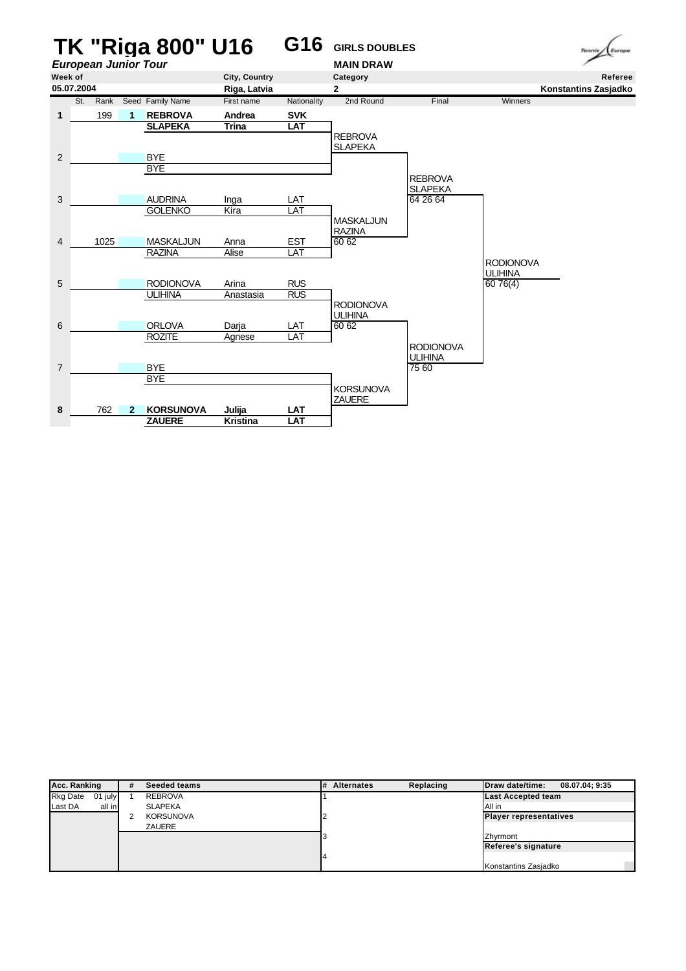

| Acc. Ranking               | #                | <b>Seeded teams</b> | # | <b>Alternates</b>             | Replacing            | Draw date/time:           | 08.07.04: 9:35 |
|----------------------------|------------------|---------------------|---|-------------------------------|----------------------|---------------------------|----------------|
| <b>Rkg Date</b><br>01 july |                  | <b>REBROVA</b>      |   |                               |                      | <b>Last Accepted team</b> |                |
| Last DA<br>all in          |                  | <b>SLAPEKA</b>      |   |                               |                      | All in                    |                |
|                            | <b>KORSUNOVA</b> |                     |   | <b>Player representatives</b> |                      |                           |                |
|                            |                  | <b>ZAUERE</b>       |   |                               |                      |                           |                |
|                            |                  |                     |   |                               |                      | Zhvrmont                  |                |
|                            |                  |                     |   |                               | Referee's signature  |                           |                |
|                            |                  |                     |   |                               |                      |                           |                |
|                            |                  |                     |   |                               | Konstantins Zasjadko |                           |                |